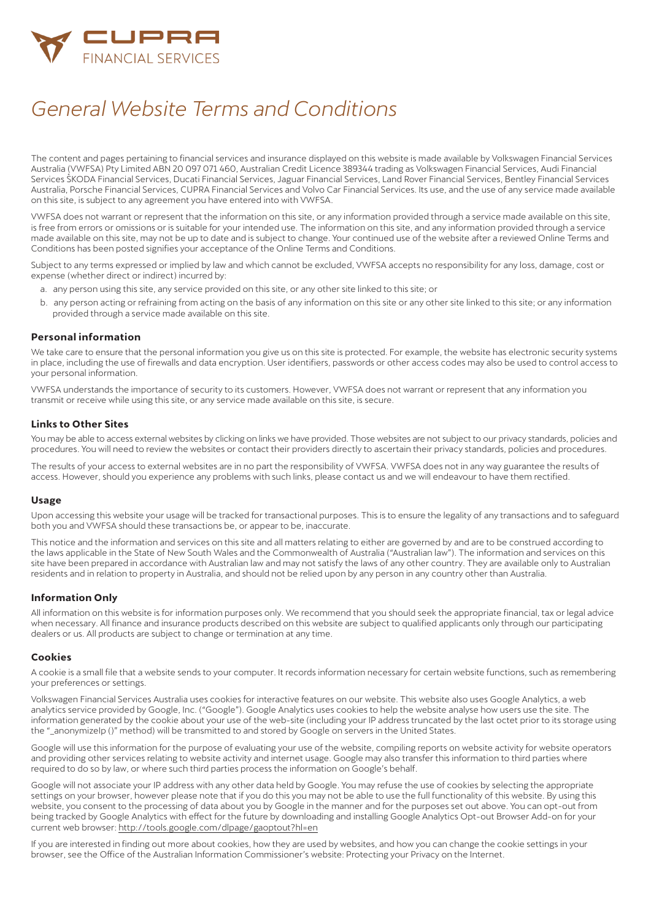

# *General Website Terms and Conditions*

The content and pages pertaining to financial services and insurance displayed on this website is made available by Volkswagen Financial Services Australia (VWFSA) Pty Limited ABN 20 097 071 460, Australian Credit Licence 389344 trading as Volkswagen Financial Services, Audi Financial Services ŠKODA Financial Services, Ducati Financial Services, Jaguar Financial Services, Land Rover Financial Services, Bentley Financial Services Australia, Porsche Financial Services, CUPRA Financial Services and Volvo Car Financial Services. Its use, and the use of any service made available on this site, is subject to any agreement you have entered into with VWFSA.

VWFSA does not warrant or represent that the information on this site, or any information provided through a service made available on this site, is free from errors or omissions or is suitable for your intended use. The information on this site, and any information provided through a service made available on this site, may not be up to date and is subject to change. Your continued use of the website after a reviewed Online Terms and Conditions has been posted signifies your acceptance of the Online Terms and Conditions.

Subject to any terms expressed or implied by law and which cannot be excluded, VWFSA accepts no responsibility for any loss, damage, cost or expense (whether direct or indirect) incurred by:

- a. any person using this site, any service provided on this site, or any other site linked to this site; or
- b. any person acting or refraining from acting on the basis of any information on this site or any other site linked to this site; or any information provided through a service made available on this site.

# **Personal information**

We take care to ensure that the personal information you give us on this site is protected. For example, the website has electronic security systems in place, including the use of firewalls and data encryption. User identifiers, passwords or other access codes may also be used to control access to your personal information.

VWFSA understands the importance of security to its customers. However, VWFSA does not warrant or represent that any information you transmit or receive while using this site, or any service made available on this site, is secure.

## **Links to Other Sites**

You may be able to access external websites by clicking on links we have provided. Those websites are not subject to our privacy standards, policies and procedures. You will need to review the websites or contact their providers directly to ascertain their privacy standards, policies and procedures.

The results of your access to external websites are in no part the responsibility of VWFSA. VWFSA does not in any way guarantee the results of access. However, should you experience any problems with such links, please contact us and we will endeavour to have them rectified.

#### **Usage**

Upon accessing this website your usage will be tracked for transactional purposes. This is to ensure the legality of any transactions and to safeguard both you and VWFSA should these transactions be, or appear to be, inaccurate.

This notice and the information and services on this site and all matters relating to either are governed by and are to be construed according to the laws applicable in the State of New South Wales and the Commonwealth of Australia ("Australian law"). The information and services on this site have been prepared in accordance with Australian law and may not satisfy the laws of any other country. They are available only to Australian residents and in relation to property in Australia, and should not be relied upon by any person in any country other than Australia.

#### **Information Only**

All information on this website is for information purposes only. We recommend that you should seek the appropriate financial, tax or legal advice when necessary. All finance and insurance products described on this website are subject to qualified applicants only through our participating dealers or us. All products are subject to change or termination at any time.

#### **Cookies**

A cookie is a small file that a website sends to your computer. It records information necessary for certain website functions, such as remembering your preferences or settings.

Volkswagen Financial Services Australia uses cookies for interactive features on our website. This website also uses Google Analytics, a web analytics service provided by Google, Inc. ("Google"). Google Analytics uses cookies to help the website analyse how users use the site. The information generated by the cookie about your use of the web-site (including your IP address truncated by the last octet prior to its storage using the "\_anonymizeIp ()" method) will be transmitted to and stored by Google on servers in the United States.

Google will use this information for the purpose of evaluating your use of the website, compiling reports on website activity for website operators and providing other services relating to website activity and internet usage. Google may also transfer this information to third parties where required to do so by law, or where such third parties process the information on Google's behalf.

Google will not associate your IP address with any other data held by Google. You may refuse the use of cookies by selecting the appropriate settings on your browser, however please note that if you do this you may not be able to use the full functionality of this website. By using this website, you consent to the processing of data about you by Google in the manner and for the purposes set out above. You can opt-out from being tracked by Google Analytics with effect for the future by downloading and installing Google Analytics Opt-out Browser Add-on for your current web browser: <http://tools.google.com/dlpage/gaoptout?hl=en>

If you are interested in finding out more about cookies, how they are used by websites, and how you can change the cookie settings in your browser, see the Office of the Australian Information Commissioner's website: Protecting your Privacy on the Internet.